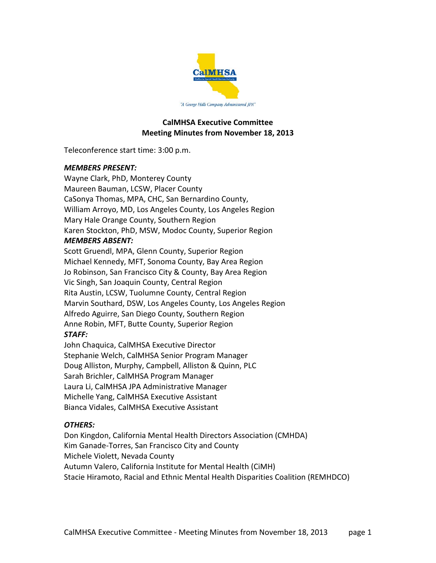

## **CalMHSA Executive Committee Meeting Minutes from November 18, 2013**

Teleconference start time: 3:00 p.m.

## *MEMBERS PRESENT:*

Wayne Clark, PhD, Monterey County Maureen Bauman, LCSW, Placer County CaSonya Thomas, MPA, CHC, San Bernardino County, William Arroyo, MD, Los Angeles County, Los Angeles Region Mary Hale Orange County, Southern Region Karen Stockton, PhD, MSW, Modoc County, Superior Region

## *MEMBERS ABSENT:*

Scott Gruendl, MPA, Glenn County, Superior Region Michael Kennedy, MFT, Sonoma County, Bay Area Region Jo Robinson, San Francisco City & County, Bay Area Region Vic Singh, San Joaquin County, Central Region Rita Austin, LCSW, Tuolumne County, Central Region Marvin Southard, DSW, Los Angeles County, Los Angeles Region Alfredo Aguirre, San Diego County, Southern Region Anne Robin, MFT, Butte County, Superior Region *STAFF:*

John Chaquica, CalMHSA Executive Director Stephanie Welch, CalMHSA Senior Program Manager Doug Alliston, Murphy, Campbell, Alliston & Quinn, PLC Sarah Brichler, CalMHSA Program Manager Laura Li, CalMHSA JPA Administrative Manager Michelle Yang, CalMHSA Executive Assistant Bianca Vidales, CalMHSA Executive Assistant

# *OTHERS:*

Don Kingdon, California Mental Health Directors Association (CMHDA) Kim Ganade-Torres, San Francisco City and County Michele Violett, Nevada County Autumn Valero, California Institute for Mental Health (CiMH) Stacie Hiramoto, Racial and Ethnic Mental Health Disparities Coalition (REMHDCO)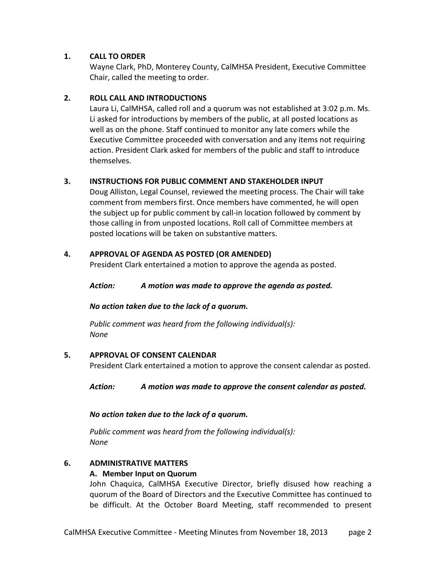# **1. CALL TO ORDER**

Wayne Clark, PhD, Monterey County, CalMHSA President, Executive Committee Chair, called the meeting to order.

# **2. ROLL CALL AND INTRODUCTIONS**

Laura Li, CalMHSA, called roll and a quorum was not established at 3:02 p.m. Ms. Li asked for introductions by members of the public, at all posted locations as well as on the phone. Staff continued to monitor any late comers while the Executive Committee proceeded with conversation and any items not requiring action. President Clark asked for members of the public and staff to introduce themselves.

# **3. INSTRUCTIONS FOR PUBLIC COMMENT AND STAKEHOLDER INPUT**

Doug Alliston, Legal Counsel, reviewed the meeting process. The Chair will take comment from members first. Once members have commented, he will open the subject up for public comment by call-in location followed by comment by those calling in from unposted locations. Roll call of Committee members at posted locations will be taken on substantive matters.

## **4. APPROVAL OF AGENDA AS POSTED (OR AMENDED)**

President Clark entertained a motion to approve the agenda as posted.

*Action: A motion was made to approve the agenda as posted.*

## *No action taken due to the lack of a quorum.*

*Public comment was heard from the following individual(s): None*

## **5. APPROVAL OF CONSENT CALENDAR**

President Clark entertained a motion to approve the consent calendar as posted.

*Action: A motion was made to approve the consent calendar as posted.*

## *No action taken due to the lack of a quorum.*

*Public comment was heard from the following individual(s): None*

## **6. ADMINISTRATIVE MATTERS**

## **A. Member Input on Quorum**

John Chaquica, CalMHSA Executive Director, briefly disused how reaching a quorum of the Board of Directors and the Executive Committee has continued to be difficult. At the October Board Meeting, staff recommended to present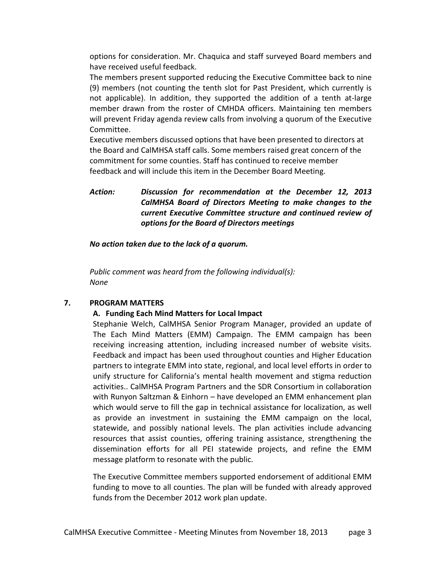options for consideration. Mr. Chaquica and staff surveyed Board members and have received useful feedback.

The members present supported reducing the Executive Committee back to nine (9) members (not counting the tenth slot for Past President, which currently is not applicable). In addition, they supported the addition of a tenth at-large member drawn from the roster of CMHDA officers. Maintaining ten members will prevent Friday agenda review calls from involving a quorum of the Executive Committee.

Executive members discussed options that have been presented to directors at the Board and CalMHSA staff calls. Some members raised great concern of the commitment for some counties. Staff has continued to receive member feedback and will include this item in the December Board Meeting.

*Action: Discussion for recommendation at the December 12, 2013 CalMHSA Board of Directors Meeting to make changes to the current Executive Committee structure and continued review of options for the Board of Directors meetings*

*No action taken due to the lack of a quorum.*

*Public comment was heard from the following individual(s): None*

#### **7. PROGRAM MATTERS**

#### **A. Funding Each Mind Matters for Local Impact**

Stephanie Welch, CalMHSA Senior Program Manager, provided an update of The Each Mind Matters (EMM) Campaign. The EMM campaign has been receiving increasing attention, including increased number of website visits. Feedback and impact has been used throughout counties and Higher Education partners to integrate EMM into state, regional, and local level efforts in order to unify structure for California's mental health movement and stigma reduction activities.. CalMHSA Program Partners and the SDR Consortium in collaboration with Runyon Saltzman & Einhorn – have developed an EMM enhancement plan which would serve to fill the gap in technical assistance for localization, as well as provide an investment in sustaining the EMM campaign on the local, statewide, and possibly national levels. The plan activities include advancing resources that assist counties, offering training assistance, strengthening the dissemination efforts for all PEI statewide projects, and refine the EMM message platform to resonate with the public.

The Executive Committee members supported endorsement of additional EMM funding to move to all counties. The plan will be funded with already approved funds from the December 2012 work plan update.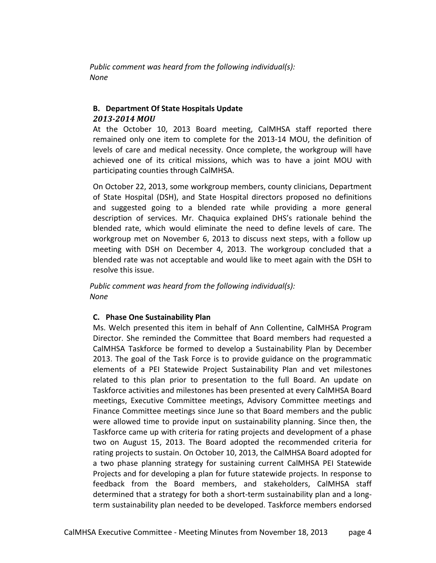*Public comment was heard from the following individual(s): None*

## **B. Department Of State Hospitals Update** *2013-2014 MOU*

At the October 10, 2013 Board meeting, CalMHSA staff reported there remained only one item to complete for the 2013-14 MOU, the definition of levels of care and medical necessity. Once complete, the workgroup will have achieved one of its critical missions, which was to have a joint MOU with participating counties through CalMHSA.

On October 22, 2013, some workgroup members, county clinicians, Department of State Hospital (DSH), and State Hospital directors proposed no definitions and suggested going to a blended rate while providing a more general description of services. Mr. Chaquica explained DHS's rationale behind the blended rate, which would eliminate the need to define levels of care. The workgroup met on November 6, 2013 to discuss next steps, with a follow up meeting with DSH on December 4, 2013. The workgroup concluded that a blended rate was not acceptable and would like to meet again with the DSH to resolve this issue.

*Public comment was heard from the following individual(s): None*

## **C. Phase One Sustainability Plan**

Ms. Welch presented this item in behalf of Ann Collentine, CalMHSA Program Director. She reminded the Committee that Board members had requested a CalMHSA Taskforce be formed to develop a Sustainability Plan by December 2013. The goal of the Task Force is to provide guidance on the programmatic elements of a PEI Statewide Project Sustainability Plan and vet milestones related to this plan prior to presentation to the full Board. An update on Taskforce activities and milestones has been presented at every CalMHSA Board meetings, Executive Committee meetings, Advisory Committee meetings and Finance Committee meetings since June so that Board members and the public were allowed time to provide input on sustainability planning. Since then, the Taskforce came up with criteria for rating projects and development of a phase two on August 15, 2013. The Board adopted the recommended criteria for rating projects to sustain. On October 10, 2013, the CalMHSA Board adopted for a two phase planning strategy for sustaining current CalMHSA PEI Statewide Projects and for developing a plan for future statewide projects. In response to feedback from the Board members, and stakeholders, CalMHSA staff determined that a strategy for both a short-term sustainability plan and a longterm sustainability plan needed to be developed. Taskforce members endorsed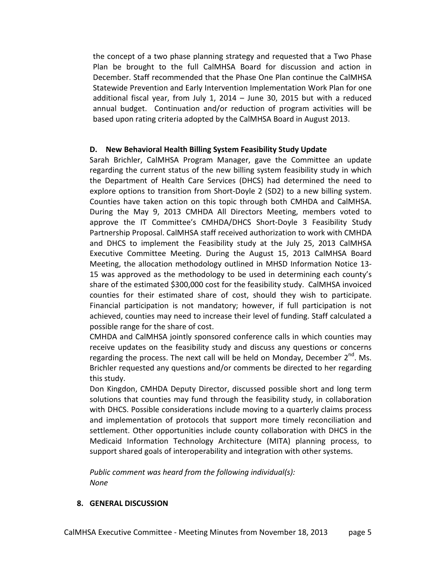the concept of a two phase planning strategy and requested that a Two Phase Plan be brought to the full CalMHSA Board for discussion and action in December. Staff recommended that the Phase One Plan continue the CalMHSA Statewide Prevention and Early Intervention Implementation Work Plan for one additional fiscal year, from July 1, 2014 – June 30, 2015 but with a reduced annual budget. Continuation and/or reduction of program activities will be based upon rating criteria adopted by the CalMHSA Board in August 2013.

## **D. New Behavioral Health Billing System Feasibility Study Update**

Sarah Brichler, CalMHSA Program Manager, gave the Committee an update regarding the current status of the new billing system feasibility study in which the Department of Health Care Services (DHCS) had determined the need to explore options to transition from Short-Doyle 2 (SD2) to a new billing system. Counties have taken action on this topic through both CMHDA and CalMHSA. During the May 9, 2013 CMHDA All Directors Meeting, members voted to approve the IT Committee's CMHDA/DHCS Short-Doyle 3 Feasibility Study Partnership Proposal. CalMHSA staff received authorization to work with CMHDA and DHCS to implement the Feasibility study at the July 25, 2013 CalMHSA Executive Committee Meeting. During the August 15, 2013 CalMHSA Board Meeting, the allocation methodology outlined in MHSD Information Notice 13- 15 was approved as the methodology to be used in determining each county's share of the estimated \$300,000 cost for the feasibility study. CalMHSA invoiced counties for their estimated share of cost, should they wish to participate. Financial participation is not mandatory; however, if full participation is not achieved, counties may need to increase their level of funding. Staff calculated a possible range for the share of cost.

CMHDA and CalMHSA jointly sponsored conference calls in which counties may receive updates on the feasibility study and discuss any questions or concerns regarding the process. The next call will be held on Monday, December  $2^{nd}$ . Ms. Brichler requested any questions and/or comments be directed to her regarding this study.

Don Kingdon, CMHDA Deputy Director, discussed possible short and long term solutions that counties may fund through the feasibility study, in collaboration with DHCS. Possible considerations include moving to a quarterly claims process and implementation of protocols that support more timely reconciliation and settlement. Other opportunities include county collaboration with DHCS in the Medicaid Information Technology Architecture (MITA) planning process, to support shared goals of interoperability and integration with other systems.

*Public comment was heard from the following individual(s): None*

#### **8. GENERAL DISCUSSION**